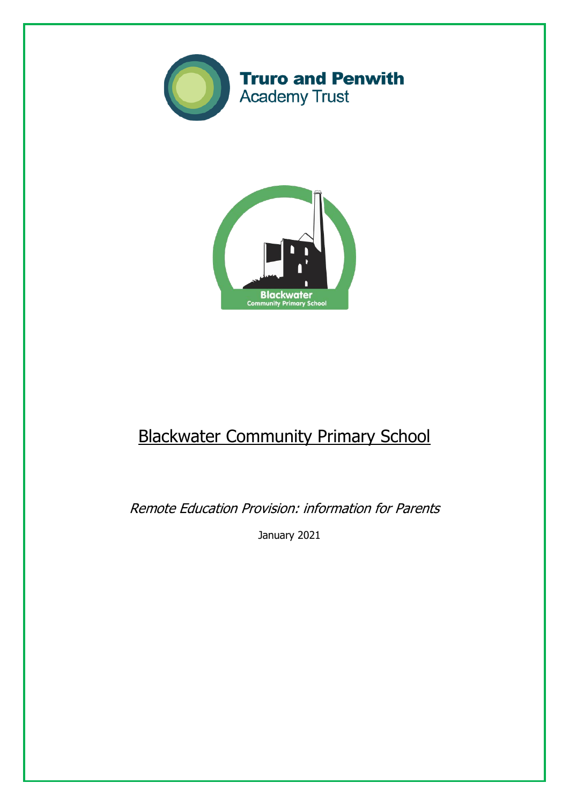



# Blackwater Community Primary School

Remote Education Provision: information for Parents

January 2021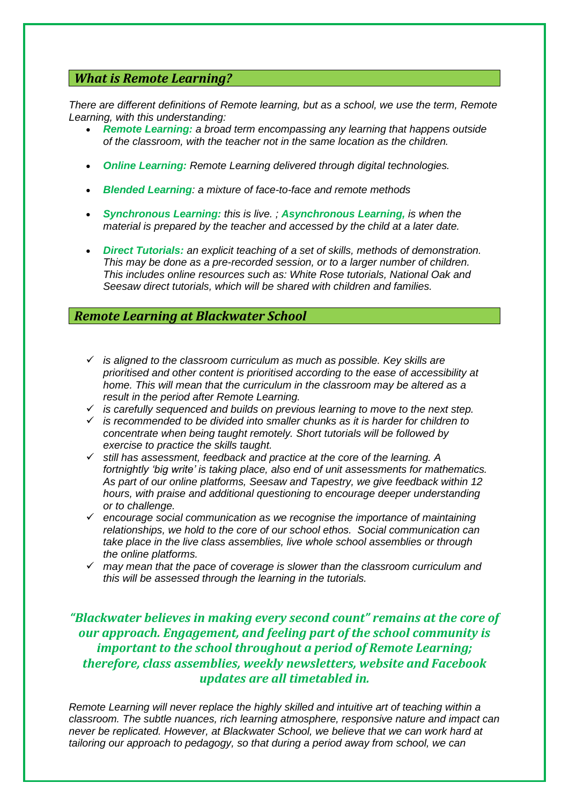# *What is Remote Learning?*

*There are different definitions of Remote learning, but as a school, we use the term, Remote Learning, with this understanding:*

- *Remote Learning: a broad term encompassing any learning that happens outside of the classroom, with the teacher not in the same location as the children.*
- *Online Learning: Remote Learning delivered through digital technologies.*
- *Blended Learning: a mixture of face-to-face and remote methods*
- *Synchronous Learning: this is live. ; Asynchronous Learning, is when the material is prepared by the teacher and accessed by the child at a later date.*
- *Direct Tutorials: an explicit teaching of a set of skills, methods of demonstration. This may be done as a pre-recorded session, or to a larger number of children. This includes online resources such as: White Rose tutorials, National Oak and Seesaw direct tutorials, which will be shared with children and families.*

## *Remote Learning at Blackwater School*

- ✓ *is aligned to the classroom curriculum as much as possible. Key skills are prioritised and other content is prioritised according to the ease of accessibility at home. This will mean that the curriculum in the classroom may be altered as a result in the period after Remote Learning.*
- ✓ *is carefully sequenced and builds on previous learning to move to the next step.*
- ✓ *is recommended to be divided into smaller chunks as it is harder for children to concentrate when being taught remotely. Short tutorials will be followed by exercise to practice the skills taught.*
- ✓ *still has assessment, feedback and practice at the core of the learning. A fortnightly 'big write' is taking place, also end of unit assessments for mathematics. As part of our online platforms, Seesaw and Tapestry, we give feedback within 12 hours, with praise and additional questioning to encourage deeper understanding or to challenge.*
- ✓ *encourage social communication as we recognise the importance of maintaining relationships, we hold to the core of our school ethos. Social communication can take place in the live class assemblies, live whole school assemblies or through the online platforms.*
- ✓ *may mean that the pace of coverage is slower than the classroom curriculum and this will be assessed through the learning in the tutorials.*

# *"Blackwater believes in making every second count" remains at the core of our approach. Engagement, and feeling part of the school community is important to the school throughout a period of Remote Learning; therefore, class assemblies, weekly newsletters, website and Facebook updates are all timetabled in.*

*Remote Learning will never replace the highly skilled and intuitive art of teaching within a classroom. The subtle nuances, rich learning atmosphere, responsive nature and impact can never be replicated. However, at Blackwater School, we believe that we can work hard at tailoring our approach to pedagogy, so that during a period away from school, we can*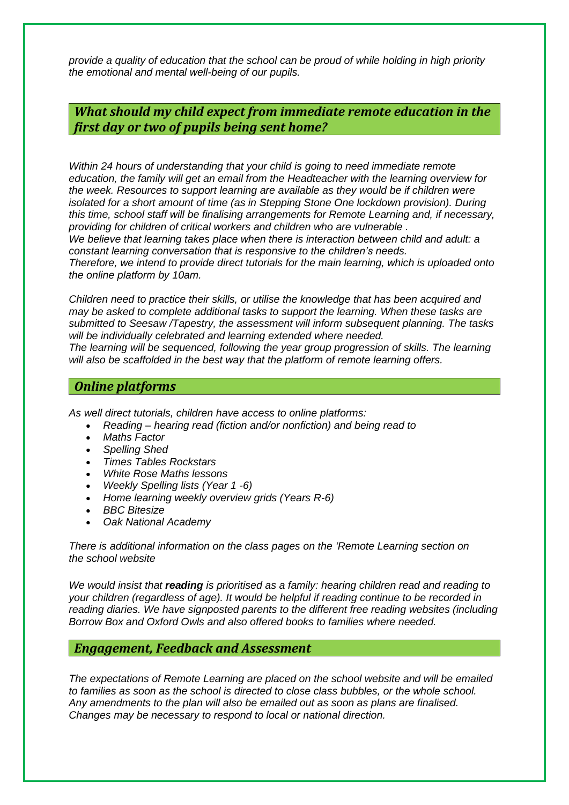*provide a quality of education that the school can be proud of while holding in high priority the emotional and mental well-being of our pupils.*

*What should my child expect from immediate remote education in the first day or two of pupils being sent home?*

*Within 24 hours of understanding that your child is going to need immediate remote education, the family will get an email from the Headteacher with the learning overview for the week. Resources to support learning are available as they would be if children were isolated for a short amount of time (as in Stepping Stone One lockdown provision). During this time, school staff will be finalising arrangements for Remote Learning and, if necessary, providing for children of critical workers and children who are vulnerable .*

*We believe that learning takes place when there is interaction between child and adult: a constant learning conversation that is responsive to the children's needs.*

*Therefore, we intend to provide direct tutorials for the main learning, which is uploaded onto the online platform by 10am.*

*Children need to practice their skills, or utilise the knowledge that has been acquired and may be asked to complete additional tasks to support the learning. When these tasks are submitted to Seesaw /Tapestry, the assessment will inform subsequent planning. The tasks will be individually celebrated and learning extended where needed.*

*The learning will be sequenced, following the year group progression of skills. The learning will also be scaffolded in the best way that the platform of remote learning offers.*

# *Online platforms*

*As well direct tutorials, children have access to online platforms:*

- *Reading – hearing read (fiction and/or nonfiction) and being read to*
- *[Maths](https://www.mymaths.co.uk/) Factor*
- *[Spelling](https://www.spellingshed.com/en-gb/) Shed*
- *Times Tables [Rockstars](https://ttrockstars.com/)*
- *White Rose Maths [lessons](https://whiterosemaths.com/homelearning/)*
- *Weekly [Spelling](https://www.threemilestone.cornwall.sch.uk/) lists (Year 1 -6)*
- *Home learning weekly [overview](https://www.threemilestone.cornwall.sch.uk/) grids (Years R-6)*
- *BBC [Bitesize](https://www.bbc.co.uk/bitesize)*
- *Oak National [Academy](https://www.thenational.academy/)*

*There is additional information on the class pages on the 'Remote Learning section on the school [website](https://www.threemilestone.cornwall.sch.uk/)*

*We would insist that reading is prioritised as a family: hearing children read and reading to your children (regardless of age). It would be helpful if reading continue to be recorded in reading diaries. We have signposted parents to the different free reading websites (including Borrow Box and Oxford Owls and also offered books to families where needed.*

## *Engagement, Feedback and Assessment*

*The expectations of Remote Learning are placed on the school website and will be emailed to families as soon as the school is directed to close class bubbles, or the whole school. Any amendments to the plan will also be emailed out as soon as plans are finalised. Changes may be necessary to respond to local or national direction.*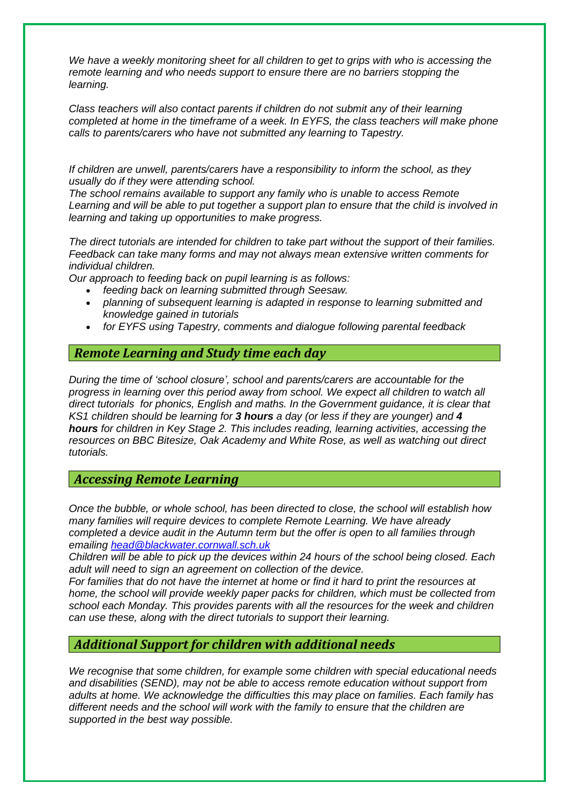*We have a weekly monitoring sheet for all children to get to grips with who is accessing the remote learning and who needs support to ensure there are no barriers stopping the learning.*

*Class teachers will also contact parents if children do not submit any of their learning completed at home in the timeframe of a week. In EYFS, the class teachers will make phone calls to parents/carers who have not submitted any learning to Tapestry.*

*If children are unwell, parents/carers have a responsibility to inform the school, as they usually do if they were attending school.*

*The school remains available to support any family who is unable to access Remote* Learning and will be able to put together a support plan to ensure that the child is involved in *learning and taking up opportunities to make progress.*

*The direct tutorials are intended for children to take part without the support of their families. Feedback can take many forms and may not always mean extensive written comments for individual children.*

*Our approach to feeding back on pupil learning is as follows:*

- *feeding back on learning submitted through Seesaw.*
- *planning of subsequent learning is adapted in response to learning submitted and knowledge gained in tutorials*
- *for EYFS using Tapestry, comments and dialogue following parental feedback*

#### *Remote Learning and Study time each day*

*During the time of 'school closure', school and parents/carers are accountable for the progress in learning over this period away from school. We expect all children to watch all direct tutorials for phonics, English and maths. In the Government guidance, it is clear that KS1 children should be learning for 3 hours a day (or less if they are younger) and 4 hours for children in Key Stage 2. This includes reading, learning activities, accessing the resources on BBC [Bitesize,](https://www.bbc.co.uk/bitesize) Oak Academy and White Rose, as well as watching out direct tutorials.*

## *Accessing Remote Learning*

*Once the bubble, or whole school, has been directed to close, the school will establish how many families will require devices to complete Remote Learning. We have already completed a device audit in the Autumn term but the offer is open to all families through emailing [head@blackwater.cornwall.sch.uk](mailto:head@blackwater.cornwall.sch.uk)*

*Children will be able to pick up the devices within 24 hours of the school being closed. Each adult will need to sign an agreement on collection of the device.*

For families that do not have the internet at home or find it hard to print the resources at *home, the school will provide weekly paper packs for children, which must be collected from school each Monday. This provides parents with all the resources for the week and children can use these, along with the direct tutorials to support their learning.*

#### *Additional Support for children with additional needs*

*We recognise that some children, for example some children with special educational needs and disabilities (SEND), may not be able to access remote education without support from adults at home. We acknowledge the difficulties this may place on families. Each family has different needs and the school will work with the family to ensure that the children are supported in the best way possible.*